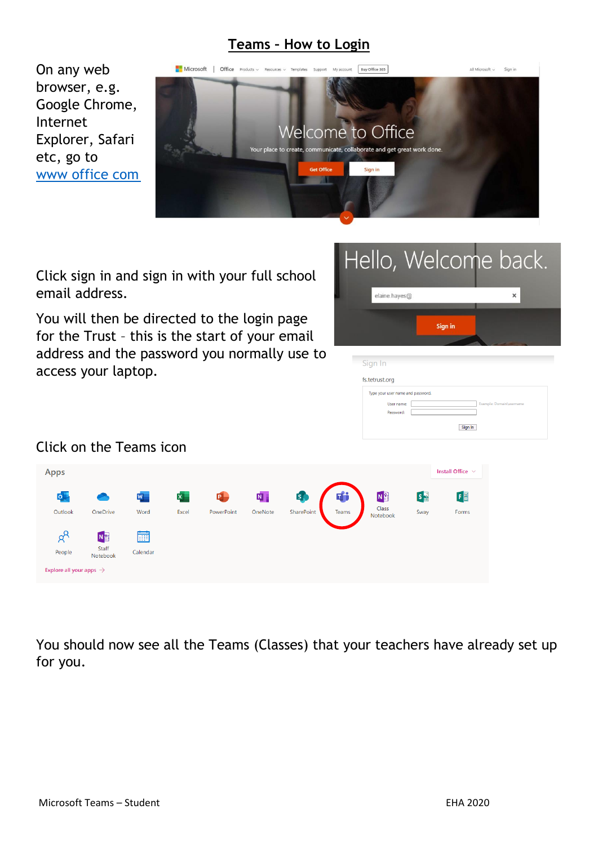### **Teams – How to Login**

On any web browser, e.g. Google Chrome, Internet Explorer, Safari etc, go to www office com



Click sign in and sign in with your full school email address.

You will then be directed to the login page for the Trust – this is the start of your email address and the password you normally use to access your laptop.



Sign In

### Click on the Teams icon

| <b>Apps</b>                         |                   |                         |              |            |         |            |       |                   |      | Install Office $\vee$ |
|-------------------------------------|-------------------|-------------------------|--------------|------------|---------|------------|-------|-------------------|------|-----------------------|
| 0                                   |                   | $\overline{\mathsf{w}}$ | $\mathbf{x}$ | 0          | N,      | <b>S</b>   | Ŵ     | N <sub>3</sub>    | S    | 国                     |
| Outlook                             | OneDrive          | Word                    | Excel        | PowerPoint | OneNote | SharePoint | Teams | Class<br>Notebook | Sway | Forms                 |
| $\beta^{\text{R}}$                  | Ng                | 蔮                       |              |            |         |            |       |                   |      |                       |
| People                              | Staff<br>Notebook | Calendar                |              |            |         |            |       |                   |      |                       |
| Explore all your apps $\rightarrow$ |                   |                         |              |            |         |            |       |                   |      |                       |

You should now see all the Teams (Classes) that your teachers have already set up for you.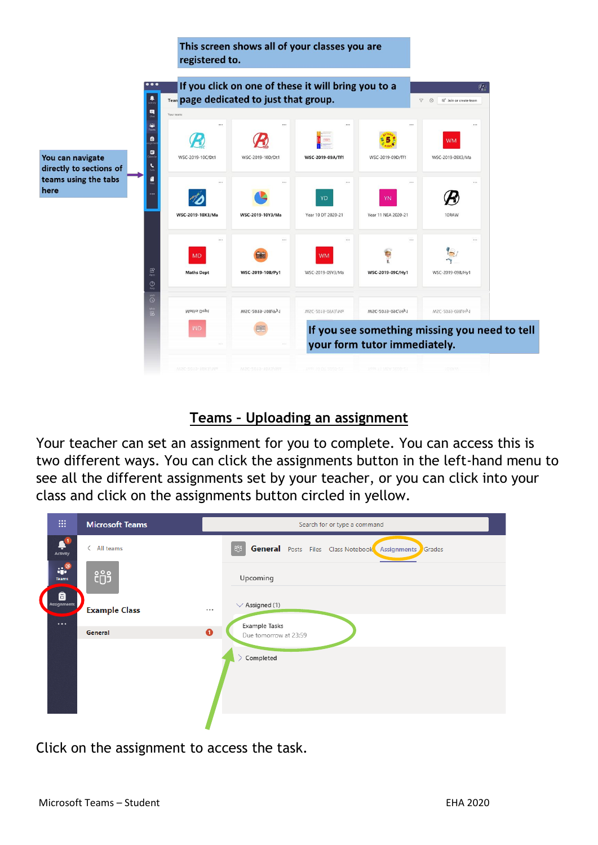This screen shows all of your classes you are registered to.



#### **Teams – Uploading an assignment**

Your teacher can set an assignment for you to complete. You can access this is two different ways. You can click the assignments button in the left-hand menu to see all the different assignments set by your teacher, or you can click into your class and click on the assignments button circled in yellow.

Click on the assignment to access the task.

here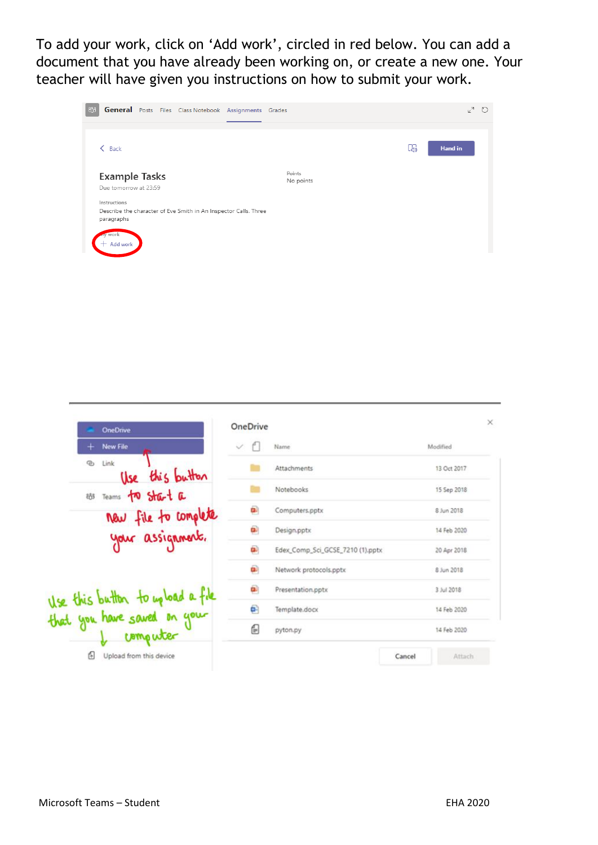To add your work, click on 'Add work', circled in red below. You can add a document that you have already been working on, or create a new one. Your teacher will have given you instructions on how to submit your work.



| <b>OneDrive</b>                            | <b>OneDrive</b> |                                  |             |  |
|--------------------------------------------|-----------------|----------------------------------|-------------|--|
| <b>New File</b>                            | $\checkmark$    | Name                             | Modified    |  |
| Link<br>$\mathcal{D}_1$<br>Use this button |                 | Attachments                      | 13 Oct 2017 |  |
| 88 Teams to start a                        |                 | Notebooks                        | 15 Sep 2018 |  |
| new file to complete                       | ü.              | Computers.pptx                   | 8 Jun 2018  |  |
| your assignment.                           | o.              | Design.pptx                      | 14 Feb 2020 |  |
|                                            | œ.              | Edex_Comp_Sci_GCSE_7210 (1).pptx | 20 Apr 2018 |  |
|                                            | œ               | Network protocols.pptx           | 8 Jun 2018  |  |
| Use this button to up load a file          | œ               | Presentation.pptx                | 3 Jul 2018  |  |
| that you have saved on your                | e               | Template.docx                    | 14 Feb 2020 |  |
| computer                                   | €               | pyton.py                         | 14 Feb 2020 |  |
| Upload from this device                    |                 | Cancel                           | Attach      |  |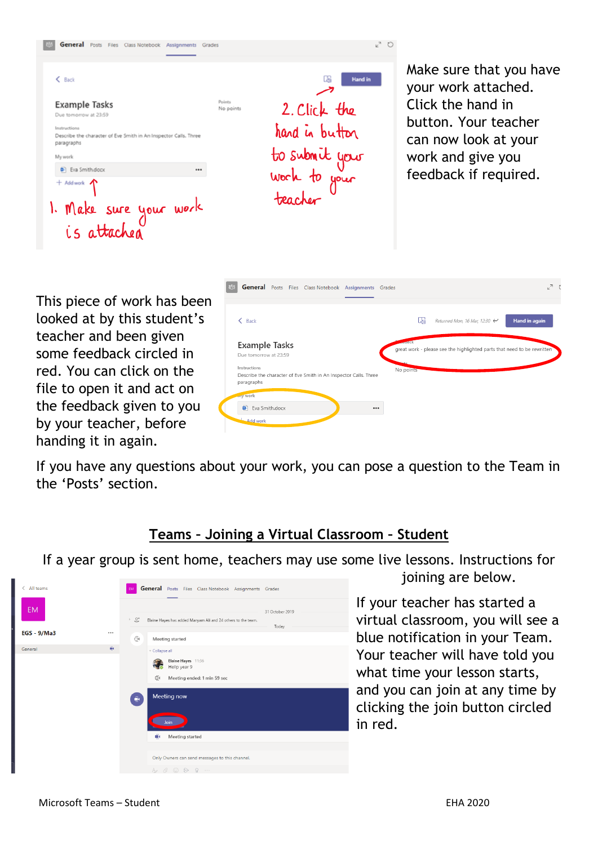|                                                                                                                                                                                                                                                                          | いり<br><b>General</b> Posts Files Class Notebook Assignments Grades                                                   |                                                                                                                                                                   |
|--------------------------------------------------------------------------------------------------------------------------------------------------------------------------------------------------------------------------------------------------------------------------|----------------------------------------------------------------------------------------------------------------------|-------------------------------------------------------------------------------------------------------------------------------------------------------------------|
| $&$ Back<br><b>Example Tasks</b><br>Due tomorrow at 23:59<br>Instructions<br>Describe the character of Eve Smith in An Inspector Calls. Three<br>paragraphs<br>My work<br><b>D</b> Eva Smith.docx<br><br>$+$ Add work $\Lambda$<br>1. Make sure your work<br>is attached | <b>Hand in</b><br>Points<br>2. Click the<br>No points<br>hand in button<br>to submit your<br>work to your<br>teacher | Make sure that you have<br>your work attached.<br>Click the hand in<br>button. Your teacher<br>can now look at your<br>work and give you<br>feedback if required. |

This piece of work has been looked at by this student's teacher and been given some feedback circled in red. You can click on the file to open it and act on the feedback given to you by your teacher, before handing it in again.

| $\langle$ Back                                                                 | L4,<br>Hand in again<br>Returned Mon, 16 Mar, 12:30 $\leftrightarrow$   |
|--------------------------------------------------------------------------------|-------------------------------------------------------------------------|
| <b>Example Tasks</b>                                                           | $-1250$                                                                 |
| Due tomorrow at 23:59                                                          | great work - please see the highlighted parts that need to be rewritten |
|                                                                                |                                                                         |
| Instructions                                                                   | No points                                                               |
| Describe the character of Eve Smith in An Inspector Calls. Three<br>paragraphs |                                                                         |
| wy work                                                                        |                                                                         |

If you have any questions about your work, you can pose a question to the Team in the 'Posts' section.

### **Teams – Joining a Virtual Classroom – Student**

If a year group is sent home, teachers may use some live lessons. Instructions for



joining are below.

If your teacher has started a virtual classroom, you will see a blue notification in your Team. Your teacher will have told you what time your lesson starts, and you can join at any time by clicking the join button circled in red.